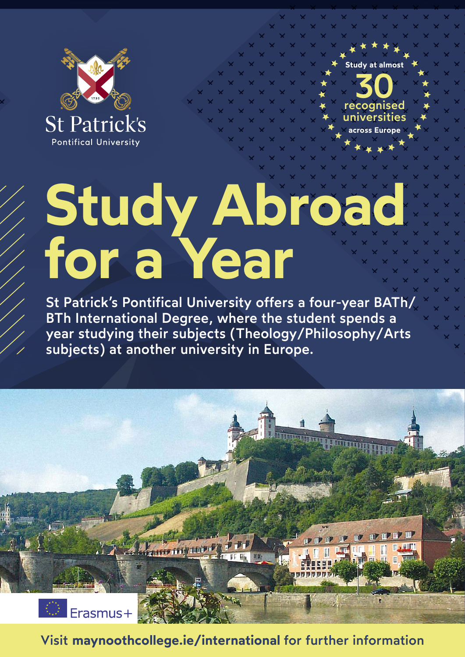



## **Study Abroad for a Year**

St Patrick's Pontifical University offers a four-year BATh/ BTh International Degree, where the student spends a year studying their subjects (Theology/Philosophy/Arts subjects) at another university in Europe.



Visit **[maynoothcollege.ie/](http://maynoothcollege.ie/erasmus)international** for further information